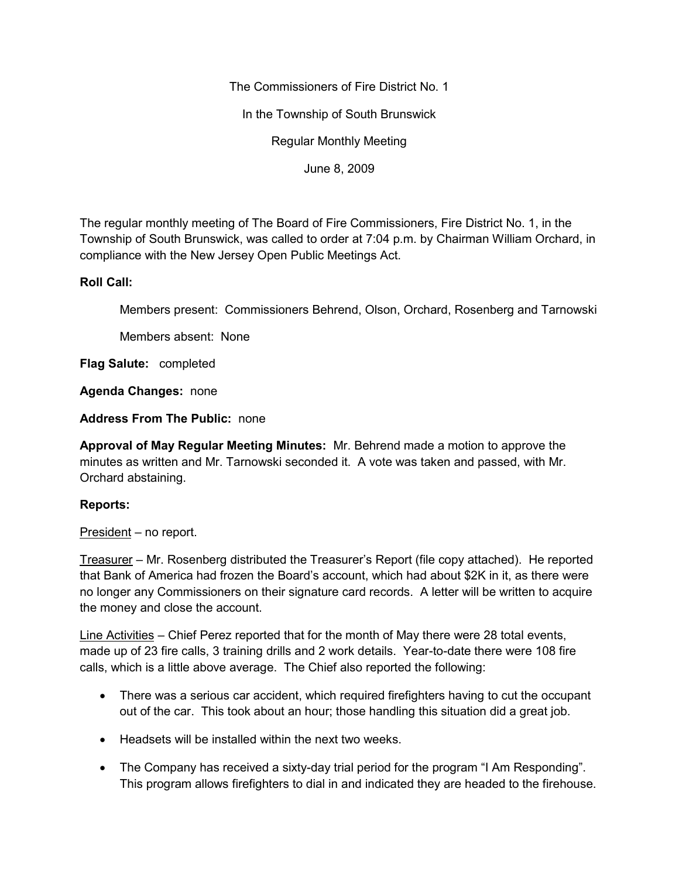The Commissioners of Fire District No. 1

In the Township of South Brunswick

Regular Monthly Meeting

June 8, 2009

The regular monthly meeting of The Board of Fire Commissioners, Fire District No. 1, in the Township of South Brunswick, was called to order at 7:04 p.m. by Chairman William Orchard, in compliance with the New Jersey Open Public Meetings Act.

# **Roll Call:**

Members present: Commissioners Behrend, Olson, Orchard, Rosenberg and Tarnowski

Members absent: None

**Flag Salute:** completed

**Agenda Changes:** none

**Address From The Public:** none

**Approval of May Regular Meeting Minutes:** Mr. Behrend made a motion to approve the minutes as written and Mr. Tarnowski seconded it. A vote was taken and passed, with Mr. Orchard abstaining.

# **Reports:**

President – no report.

Treasurer – Mr. Rosenberg distributed the Treasurer's Report (file copy attached). He reported that Bank of America had frozen the Board's account, which had about \$2K in it, as there were no longer any Commissioners on their signature card records. A letter will be written to acquire the money and close the account.

Line Activities – Chief Perez reported that for the month of May there were 28 total events, made up of 23 fire calls, 3 training drills and 2 work details. Year-to-date there were 108 fire calls, which is a little above average. The Chief also reported the following:

- There was a serious car accident, which required firefighters having to cut the occupant out of the car. This took about an hour; those handling this situation did a great job.
- Headsets will be installed within the next two weeks.
- The Company has received a sixty-day trial period for the program "I Am Responding". This program allows firefighters to dial in and indicated they are headed to the firehouse.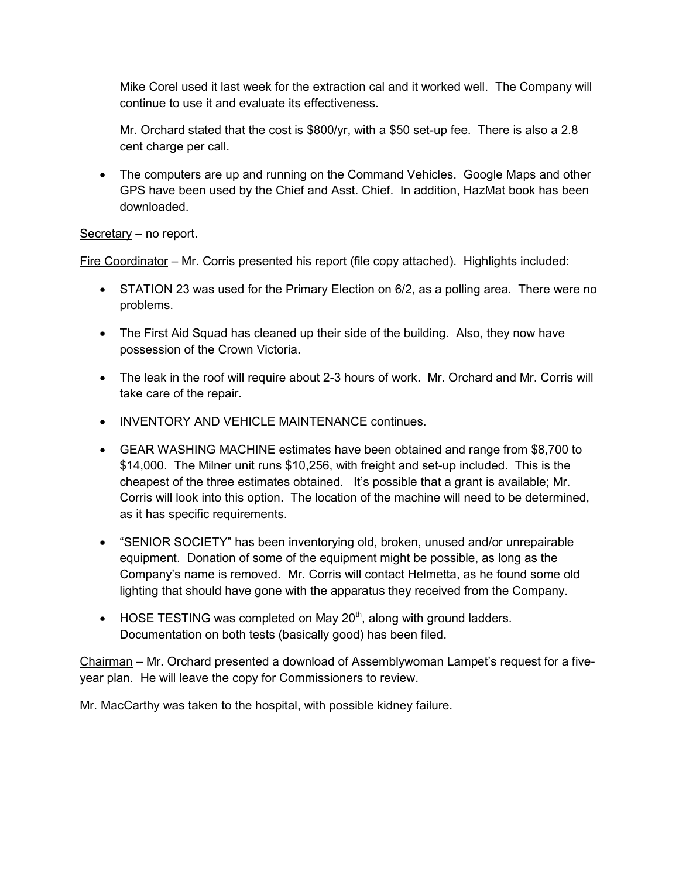Mike Corel used it last week for the extraction cal and it worked well. The Company will continue to use it and evaluate its effectiveness.

Mr. Orchard stated that the cost is \$800/yr, with a \$50 set-up fee. There is also a 2.8 cent charge per call.

 The computers are up and running on the Command Vehicles. Google Maps and other GPS have been used by the Chief and Asst. Chief. In addition, HazMat book has been downloaded.

# Secretary – no report.

Fire Coordinator – Mr. Corris presented his report (file copy attached). Highlights included:

- STATION 23 was used for the Primary Election on 6/2, as a polling area. There were no problems.
- The First Aid Squad has cleaned up their side of the building. Also, they now have possession of the Crown Victoria.
- The leak in the roof will require about 2-3 hours of work. Mr. Orchard and Mr. Corris will take care of the repair.
- INVENTORY AND VEHICLE MAINTENANCE continues.
- GEAR WASHING MACHINE estimates have been obtained and range from \$8,700 to \$14,000. The Milner unit runs \$10,256, with freight and set-up included. This is the cheapest of the three estimates obtained. It's possible that a grant is available; Mr. Corris will look into this option. The location of the machine will need to be determined, as it has specific requirements.
- "SENIOR SOCIETY" has been inventorying old, broken, unused and/or unrepairable equipment. Donation of some of the equipment might be possible, as long as the Company's name is removed. Mr. Corris will contact Helmetta, as he found some old lighting that should have gone with the apparatus they received from the Company.
- $\bullet$  HOSE TESTING was completed on May 20<sup>th</sup>, along with ground ladders. Documentation on both tests (basically good) has been filed.

Chairman – Mr. Orchard presented a download of Assemblywoman Lampet's request for a five year plan. He will leave the copy for Commissioners to review.

Mr. MacCarthy was taken to the hospital, with possible kidney failure.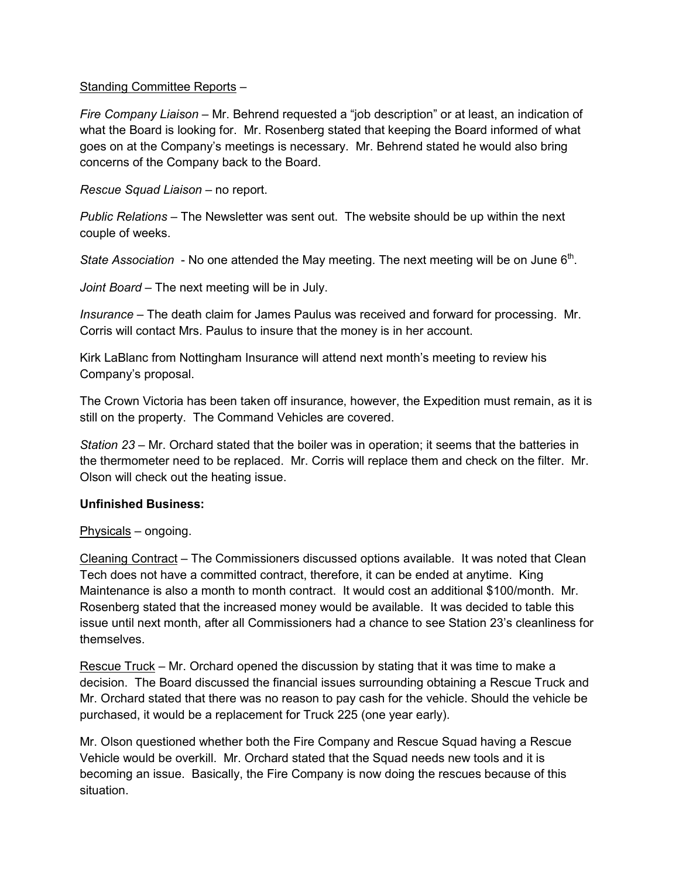#### Standing Committee Reports –

*Fire Company Liaison –* Mr. Behrend requested a "job description" or at least, an indication of what the Board is looking for. Mr. Rosenberg stated that keeping the Board informed of what goes on at the Company's meetings is necessary. Mr. Behrend stated he would also bring concerns of the Company back to the Board.

*Rescue Squad Liaison –* no report.

*Public Relations –* The Newsletter was sent out. The website should be up within the next couple of weeks.

State Association - No one attended the May meeting. The next meeting will be on June 6<sup>th</sup>.

*Joint Board –* The next meeting will be in July.

*Insurance –* The death claim for James Paulus was received and forward for processing. Mr. Corris will contact Mrs. Paulus to insure that the money is in her account.

Kirk LaBlanc from Nottingham Insurance will attend next month's meeting to review his Company's proposal.

The Crown Victoria has been taken off insurance, however, the Expedition must remain, as it is still on the property. The Command Vehicles are covered.

*Station 23* – Mr. Orchard stated that the boiler was in operation; it seems that the batteries in the thermometer need to be replaced. Mr. Corris will replace them and check on the filter. Mr. Olson will check out the heating issue.

# **Unfinished Business:**

Physicals – ongoing.

Cleaning Contract – The Commissioners discussed options available. It was noted that Clean Tech does not have a committed contract, therefore, it can be ended at anytime. King Maintenance is also a month to month contract. It would cost an additional \$100/month. Mr. Rosenberg stated that the increased money would be available. It was decided to table this issue until next month, after all Commissioners had a chance to see Station 23's cleanliness for themselves.

Rescue Truck – Mr. Orchard opened the discussion by stating that it was time to make a decision. The Board discussed the financial issues surrounding obtaining a Rescue Truck and Mr. Orchard stated that there was no reason to pay cash for the vehicle. Should the vehicle be purchased, it would be a replacement for Truck 225 (one year early).

Mr. Olson questioned whether both the Fire Company and Rescue Squad having a Rescue Vehicle would be overkill. Mr. Orchard stated that the Squad needs new tools and it is becoming an issue. Basically, the Fire Company is now doing the rescues because of this situation.